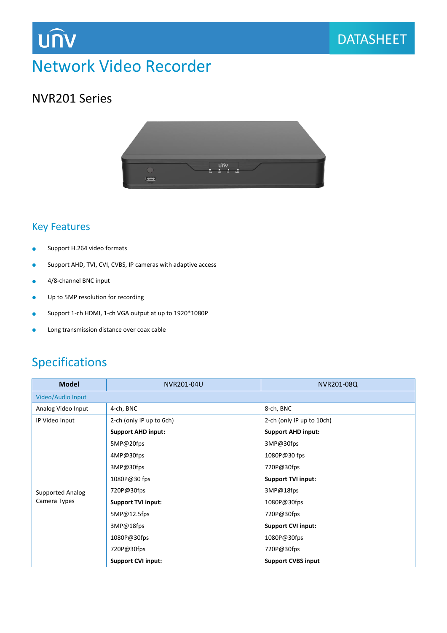### DATASHEET

## Network Video Recorder

### NVR201 Series

**UNV** 



### Key Features

- **Support H.264 video formats**
- **Support AHD, TVI, CVI, CVBS, IP cameras with adaptive access**
- 4/8-channel BNC input
- **•** Up to 5MP resolution for recording
- Support 1-ch HDMI, 1-ch VGA output at up to 1920\*1080P
- **.** Long transmission distance over coax cable

### Specifications

| <b>Model</b>                            | NVR201-04U                | NVR201-08Q                |  |
|-----------------------------------------|---------------------------|---------------------------|--|
| Video/Audio Input                       |                           |                           |  |
| Analog Video Input                      | 4-ch, BNC                 | 8-ch, BNC                 |  |
| IP Video Input                          | 2-ch (only IP up to 6ch)  | 2-ch (only IP up to 10ch) |  |
| <b>Supported Analog</b><br>Camera Types | <b>Support AHD input:</b> | <b>Support AHD input:</b> |  |
|                                         | 5MP@20fps                 | 3MP@30fps                 |  |
|                                         | 4MP@30fps                 | 1080P@30 fps              |  |
|                                         | 3MP@30fps                 | 720P@30fps                |  |
|                                         | 1080P@30 fps              | <b>Support TVI input:</b> |  |
|                                         | 720P@30fps                | 3MP@18fps                 |  |
|                                         | <b>Support TVI input:</b> | 1080P@30fps               |  |
|                                         | 5MP@12.5fps               | 720P@30fps                |  |
|                                         | 3MP@18fps                 | <b>Support CVI input:</b> |  |
|                                         | 1080P@30fps               | 1080P@30fps               |  |
|                                         | 720P@30fps                | 720P@30fps                |  |
|                                         | <b>Support CVI input:</b> | <b>Support CVBS input</b> |  |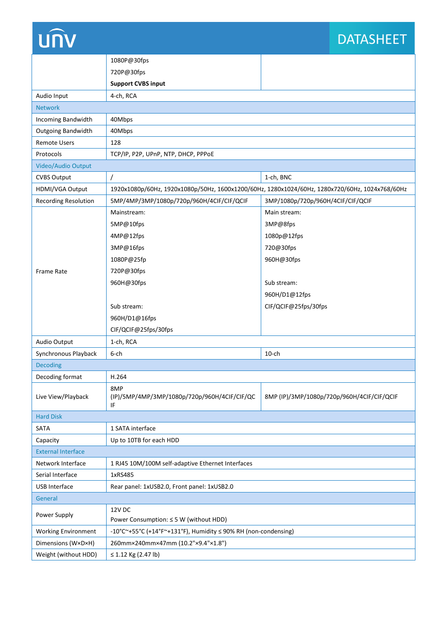# **UNV**

## **DATASHEET**

|                             | 1080P@30fps                                                                                    |                                            |  |
|-----------------------------|------------------------------------------------------------------------------------------------|--------------------------------------------|--|
|                             | 720P@30fps                                                                                     |                                            |  |
|                             | <b>Support CVBS input</b>                                                                      |                                            |  |
| Audio Input                 | 4-ch, RCA                                                                                      |                                            |  |
| <b>Network</b>              |                                                                                                |                                            |  |
| Incoming Bandwidth          | 40Mbps                                                                                         |                                            |  |
| <b>Outgoing Bandwidth</b>   | 40Mbps                                                                                         |                                            |  |
| <b>Remote Users</b>         | 128                                                                                            |                                            |  |
| Protocols                   | TCP/IP, P2P, UPnP, NTP, DHCP, PPPOE                                                            |                                            |  |
| Video/Audio Output          |                                                                                                |                                            |  |
| <b>CVBS Output</b>          |                                                                                                | 1-ch, BNC                                  |  |
| HDMI/VGA Output             | 1920x1080p/60Hz, 1920x1080p/50Hz, 1600x1200/60Hz, 1280x1024/60Hz, 1280x720/60Hz, 1024x768/60Hz |                                            |  |
| <b>Recording Resolution</b> | 5MP/4MP/3MP/1080p/720p/960H/4CIF/CIF/QCIF                                                      | 3MP/1080p/720p/960H/4CIF/CIF/QCIF          |  |
|                             | Mainstream:                                                                                    | Main stream:                               |  |
|                             | 5MP@10fps                                                                                      | 3MP@8fps                                   |  |
|                             | 4MP@12fps                                                                                      | 1080p@12fps                                |  |
|                             | 3MP@16fps                                                                                      | 720@30fps                                  |  |
|                             | 1080P@25fp                                                                                     | 960H@30fps                                 |  |
| Frame Rate                  | 720P@30fps                                                                                     |                                            |  |
|                             | 960H@30fps                                                                                     | Sub stream:                                |  |
|                             |                                                                                                | 960H/D1@12fps                              |  |
|                             | Sub stream:                                                                                    | CIF/QCIF@25fps/30fps                       |  |
|                             | 960H/D1@16fps                                                                                  |                                            |  |
|                             | CIF/QCIF@25fps/30fps                                                                           |                                            |  |
| Audio Output                | 1-ch, RCA                                                                                      |                                            |  |
| Synchronous Playback        | 6-ch                                                                                           | $10$ -ch                                   |  |
| <b>Decoding</b>             |                                                                                                |                                            |  |
| Decoding format             | H.264                                                                                          |                                            |  |
| Live View/Playback          | 8MP<br>(IP)/5MP/4MP/3MP/1080p/720p/960H/4CIF/CIF/QC<br>ΙF                                      | 8MP (IP)/3MP/1080p/720p/960H/4CIF/CIF/QCIF |  |
| <b>Hard Disk</b>            |                                                                                                |                                            |  |
| SATA                        | 1 SATA interface                                                                               |                                            |  |
| Capacity                    | Up to 10TB for each HDD                                                                        |                                            |  |
| <b>External Interface</b>   |                                                                                                |                                            |  |
| Network Interface           | 1 RJ45 10M/100M self-adaptive Ethernet Interfaces                                              |                                            |  |
| Serial Interface            | 1xRS485                                                                                        |                                            |  |
| <b>USB Interface</b>        | Rear panel: 1xUSB2.0, Front panel: 1xUSB2.0                                                    |                                            |  |
| General                     |                                                                                                |                                            |  |
| Power Supply                | <b>12V DC</b><br>Power Consumption: ≤ 5 W (without HDD)                                        |                                            |  |
| <b>Working Environment</b>  | -10°C~+55°C (+14°F~+131°F), Humidity ≤ 90% RH (non-condensing)                                 |                                            |  |
| Dimensions (W×D×H)          | 260mm×240mm×47mm (10.2"×9.4"×1.8")                                                             |                                            |  |
| Weight (without HDD)        | ≤ 1.12 Kg (2.47 lb)                                                                            |                                            |  |